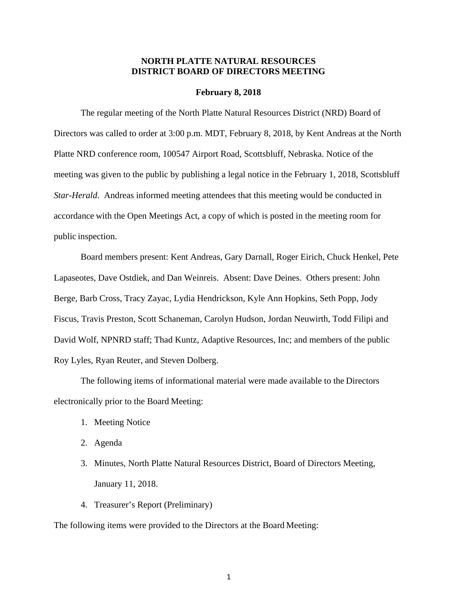#### **NORTH PLATTE NATURAL RESOURCES DISTRICT BOARD OF DIRECTORS MEETING**

#### **February 8, 2018**

The regular meeting of the North Platte Natural Resources District (NRD) Board of Directors was called to order at 3:00 p.m. MDT, February 8, 2018, by Kent Andreas at the North Platte NRD conference room, 100547 Airport Road, Scottsbluff, Nebraska. Notice of the meeting was given to the public by publishing a legal notice in the February 1, 2018, Scottsbluff *Star-Herald*. Andreas informed meeting attendees that this meeting would be conducted in accordance with the Open Meetings Act, a copy of which is posted in the meeting room for public inspection.

Board members present: Kent Andreas, Gary Darnall, Roger Eirich, Chuck Henkel, Pete Lapaseotes, Dave Ostdiek, and Dan Weinreis. Absent: Dave Deines. Others present: John Berge, Barb Cross, Tracy Zayac, Lydia Hendrickson, Kyle Ann Hopkins, Seth Popp, Jody Fiscus, Travis Preston, Scott Schaneman, Carolyn Hudson, Jordan Neuwirth, Todd Filipi and David Wolf, NPNRD staff; Thad Kuntz, Adaptive Resources, Inc; and members of the public Roy Lyles, Ryan Reuter, and Steven Dolberg.

The following items of informational material were made available to the Directors electronically prior to the Board Meeting:

- 1. Meeting Notice
- 2. Agenda
- 3. Minutes, North Platte Natural Resources District, Board of Directors Meeting, January 11, 2018.
- 4. Treasurer's Report (Preliminary)

The following items were provided to the Directors at the Board Meeting: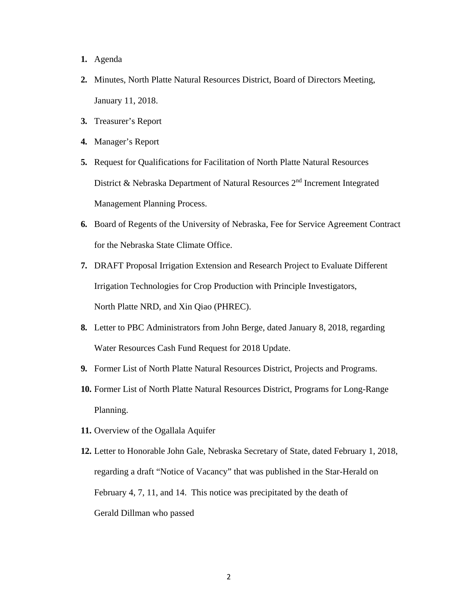- **1.** Agenda
- **2.** Minutes, North Platte Natural Resources District, Board of Directors Meeting, January 11, 2018.
- **3.** Treasurer's Report
- **4.** Manager's Report
- **5.** Request for Qualifications for Facilitation of North Platte Natural Resources District & Nebraska Department of Natural Resources 2<sup>nd</sup> Increment Integrated Management Planning Process.
- **6.** Board of Regents of the University of Nebraska, Fee for Service Agreement Contract for the Nebraska State Climate Office.
- **7.** DRAFT Proposal Irrigation Extension and Research Project to Evaluate Different Irrigation Technologies for Crop Production with Principle Investigators, North Platte NRD, and Xin Qiao (PHREC).
- **8.** Letter to PBC Administrators from John Berge, dated January 8, 2018, regarding Water Resources Cash Fund Request for 2018 Update.
- **9.** Former List of North Platte Natural Resources District, Projects and Programs.
- **10.** Former List of North Platte Natural Resources District, Programs for Long-Range Planning.
- **11.** Overview of the Ogallala Aquifer
- **12.** Letter to Honorable John Gale, Nebraska Secretary of State, dated February 1, 2018, regarding a draft "Notice of Vacancy" that was published in the Star-Herald on February 4, 7, 11, and 14. This notice was precipitated by the death of Gerald Dillman who passed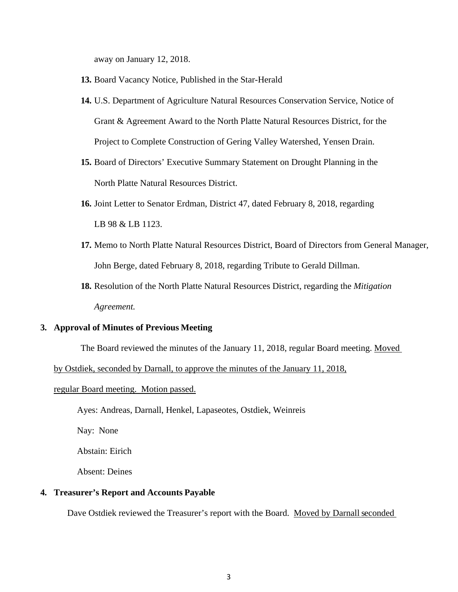away on January 12, 2018.

- **13.** Board Vacancy Notice, Published in the Star-Herald
- **14.** U.S. Department of Agriculture Natural Resources Conservation Service, Notice of Grant & Agreement Award to the North Platte Natural Resources District, for the Project to Complete Construction of Gering Valley Watershed, Yensen Drain.
- **15.** Board of Directors' Executive Summary Statement on Drought Planning in the North Platte Natural Resources District.
- **16.** Joint Letter to Senator Erdman, District 47, dated February 8, 2018, regarding LB 98 & LB 1123.
- **17.** Memo to North Platte Natural Resources District, Board of Directors from General Manager, John Berge, dated February 8, 2018, regarding Tribute to Gerald Dillman.
- **18.** Resolution of the North Platte Natural Resources District, regarding the *Mitigation Agreement.*

#### **3. Approval of Minutes of Previous Meeting**

The Board reviewed the minutes of the January 11, 2018, regular Board meeting. Moved

by Ostdiek, seconded by Darnall, to approve the minutes of the January 11, 2018,

#### regular Board meeting. Motion passed.

Ayes: Andreas, Darnall, Henkel, Lapaseotes, Ostdiek, Weinreis

Nay: None

Abstain: Eirich

Absent: Deines

#### **4. Treasurer's Report and Accounts Payable**

Dave Ostdiek reviewed the Treasurer's report with the Board. Moved by Darnall seconded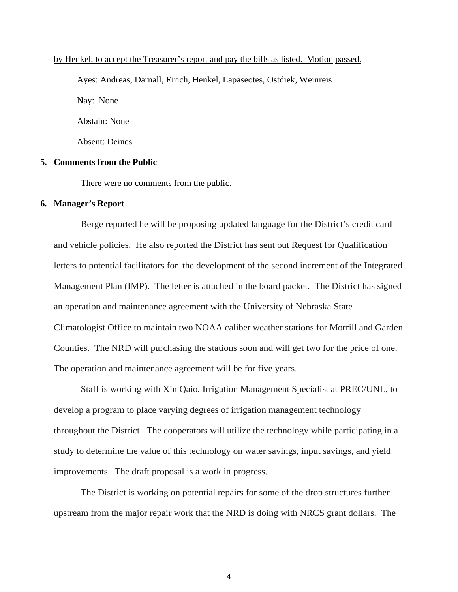#### by Henkel, to accept the Treasurer's report and pay the bills as listed. Motion passed.

Ayes: Andreas, Darnall, Eirich, Henkel, Lapaseotes, Ostdiek, Weinreis Nay: None Abstain: None Absent: Deines

#### **5. Comments from the Public**

There were no comments from the public.

#### **6. Manager's Report**

Berge reported he will be proposing updated language for the District's credit card and vehicle policies. He also reported the District has sent out Request for Qualification letters to potential facilitators for the development of the second increment of the Integrated Management Plan (IMP). The letter is attached in the board packet. The District has signed an operation and maintenance agreement with the University of Nebraska State Climatologist Office to maintain two NOAA caliber weather stations for Morrill and Garden Counties. The NRD will purchasing the stations soon and will get two for the price of one. The operation and maintenance agreement will be for five years.

Staff is working with Xin Qaio, Irrigation Management Specialist at PREC/UNL, to develop a program to place varying degrees of irrigation management technology throughout the District. The cooperators will utilize the technology while participating in a study to determine the value of this technology on water savings, input savings, and yield improvements. The draft proposal is a work in progress.

The District is working on potential repairs for some of the drop structures further upstream from the major repair work that the NRD is doing with NRCS grant dollars. The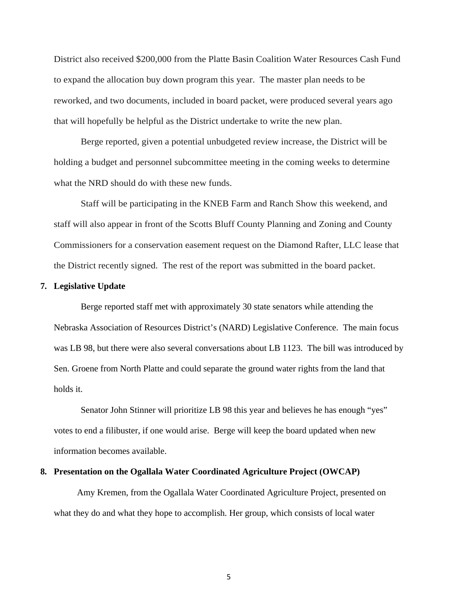District also received \$200,000 from the Platte Basin Coalition Water Resources Cash Fund to expand the allocation buy down program this year. The master plan needs to be reworked, and two documents, included in board packet, were produced several years ago that will hopefully be helpful as the District undertake to write the new plan.

Berge reported, given a potential unbudgeted review increase, the District will be holding a budget and personnel subcommittee meeting in the coming weeks to determine what the NRD should do with these new funds.

Staff will be participating in the KNEB Farm and Ranch Show this weekend, and staff will also appear in front of the Scotts Bluff County Planning and Zoning and County Commissioners for a conservation easement request on the Diamond Rafter, LLC lease that the District recently signed. The rest of the report was submitted in the board packet.

#### **7. Legislative Update**

Berge reported staff met with approximately 30 state senators while attending the Nebraska Association of Resources District's (NARD) Legislative Conference. The main focus was LB 98, but there were also several conversations about LB 1123. The bill was introduced by Sen. Groene from North Platte and could separate the ground water rights from the land that holds it.

Senator John Stinner will prioritize LB 98 this year and believes he has enough "yes" votes to end a filibuster, if one would arise. Berge will keep the board updated when new information becomes available.

#### **8. Presentation on the Ogallala Water Coordinated Agriculture Project (OWCAP)**

Amy Kremen, from the Ogallala Water Coordinated Agriculture Project, presented on what they do and what they hope to accomplish. Her group, which consists of local water

5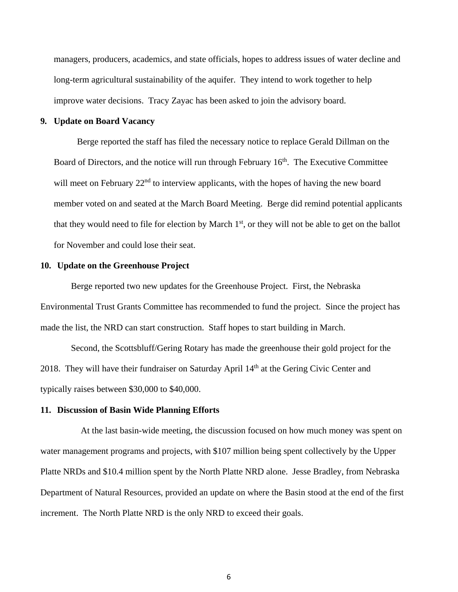managers, producers, academics, and state officials, hopes to address issues of water decline and long-term agricultural sustainability of the aquifer. They intend to work together to help improve water decisions. Tracy Zayac has been asked to join the advisory board.

#### **9. Update on Board Vacancy**

Berge reported the staff has filed the necessary notice to replace Gerald Dillman on the Board of Directors, and the notice will run through February  $16<sup>th</sup>$ . The Executive Committee will meet on February 22<sup>nd</sup> to interview applicants, with the hopes of having the new board member voted on and seated at the March Board Meeting. Berge did remind potential applicants that they would need to file for election by March  $1<sup>st</sup>$ , or they will not be able to get on the ballot for November and could lose their seat.

#### **10. Update on the Greenhouse Project**

 Berge reported two new updates for the Greenhouse Project. First, the Nebraska Environmental Trust Grants Committee has recommended to fund the project. Since the project has made the list, the NRD can start construction. Staff hopes to start building in March.

 Second, the Scottsbluff/Gering Rotary has made the greenhouse their gold project for the 2018. They will have their fundraiser on Saturday April  $14<sup>th</sup>$  at the Gering Civic Center and typically raises between \$30,000 to \$40,000.

#### **11. Discussion of Basin Wide Planning Efforts**

At the last basin-wide meeting, the discussion focused on how much money was spent on water management programs and projects, with \$107 million being spent collectively by the Upper Platte NRDs and \$10.4 million spent by the North Platte NRD alone. Jesse Bradley, from Nebraska Department of Natural Resources, provided an update on where the Basin stood at the end of the first increment. The North Platte NRD is the only NRD to exceed their goals.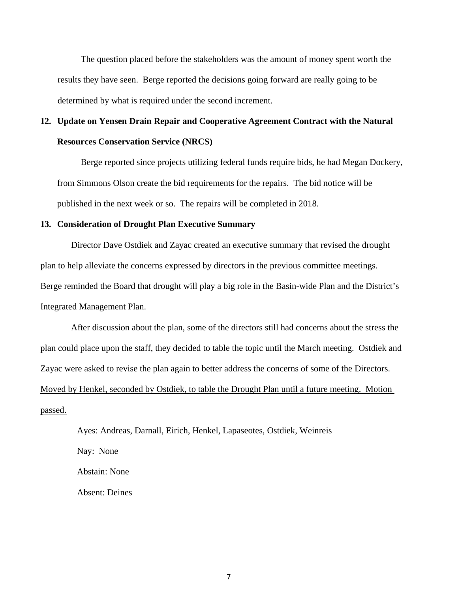The question placed before the stakeholders was the amount of money spent worth the results they have seen. Berge reported the decisions going forward are really going to be determined by what is required under the second increment.

# **12. Update on Yensen Drain Repair and Cooperative Agreement Contract with the Natural Resources Conservation Service (NRCS)**

Berge reported since projects utilizing federal funds require bids, he had Megan Dockery, from Simmons Olson create the bid requirements for the repairs. The bid notice will be published in the next week or so. The repairs will be completed in 2018.

#### **13. Consideration of Drought Plan Executive Summary**

Director Dave Ostdiek and Zayac created an executive summary that revised the drought plan to help alleviate the concerns expressed by directors in the previous committee meetings. Berge reminded the Board that drought will play a big role in the Basin-wide Plan and the District's Integrated Management Plan.

 After discussion about the plan, some of the directors still had concerns about the stress the plan could place upon the staff, they decided to table the topic until the March meeting. Ostdiek and Zayac were asked to revise the plan again to better address the concerns of some of the Directors. Moved by Henkel, seconded by Ostdiek, to table the Drought Plan until a future meeting. Motion passed.

Ayes: Andreas, Darnall, Eirich, Henkel, Lapaseotes, Ostdiek, Weinreis Nay: None Abstain: None Absent: Deines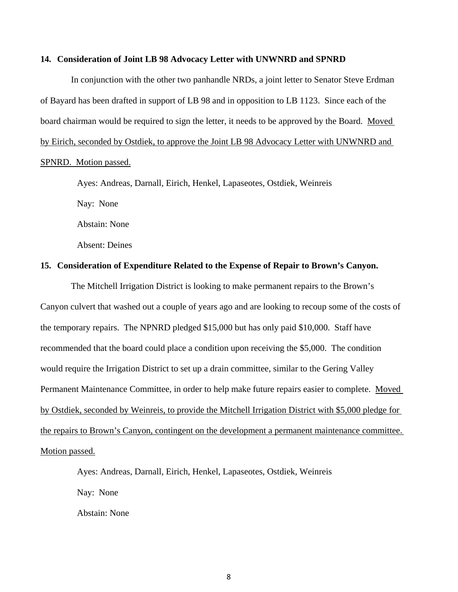#### **14. Consideration of Joint LB 98 Advocacy Letter with UNWNRD and SPNRD**

 In conjunction with the other two panhandle NRDs, a joint letter to Senator Steve Erdman of Bayard has been drafted in support of LB 98 and in opposition to LB 1123. Since each of the board chairman would be required to sign the letter, it needs to be approved by the Board. Moved by Eirich, seconded by Ostdiek, to approve the Joint LB 98 Advocacy Letter with UNWNRD and SPNRD. Motion passed.

Ayes: Andreas, Darnall, Eirich, Henkel, Lapaseotes, Ostdiek, Weinreis

Nay: None

Abstain: None

Absent: Deines

#### **15. Consideration of Expenditure Related to the Expense of Repair to Brown's Canyon.**

 The Mitchell Irrigation District is looking to make permanent repairs to the Brown's Canyon culvert that washed out a couple of years ago and are looking to recoup some of the costs of the temporary repairs. The NPNRD pledged \$15,000 but has only paid \$10,000. Staff have recommended that the board could place a condition upon receiving the \$5,000. The condition would require the Irrigation District to set up a drain committee, similar to the Gering Valley Permanent Maintenance Committee, in order to help make future repairs easier to complete. Moved by Ostdiek, seconded by Weinreis, to provide the Mitchell Irrigation District with \$5,000 pledge for the repairs to Brown's Canyon, contingent on the development a permanent maintenance committee. Motion passed.

Ayes: Andreas, Darnall, Eirich, Henkel, Lapaseotes, Ostdiek, Weinreis Nay: None Abstain: None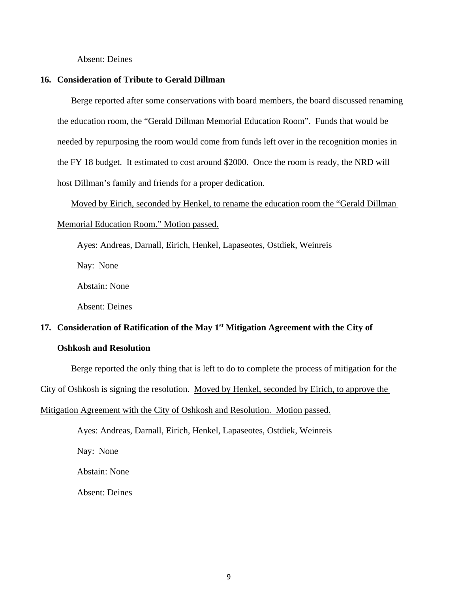Absent: Deines

#### **16. Consideration of Tribute to Gerald Dillman**

Berge reported after some conservations with board members, the board discussed renaming the education room, the "Gerald Dillman Memorial Education Room". Funds that would be needed by repurposing the room would come from funds left over in the recognition monies in the FY 18 budget. It estimated to cost around \$2000. Once the room is ready, the NRD will host Dillman's family and friends for a proper dedication.

Moved by Eirich, seconded by Henkel, to rename the education room the "Gerald Dillman Memorial Education Room." Motion passed.

Ayes: Andreas, Darnall, Eirich, Henkel, Lapaseotes, Ostdiek, Weinreis

Nay: None

Abstain: None

Absent: Deines

## **17. Consideration of Ratification of the May 1st Mitigation Agreement with the City of Oshkosh and Resolution**

### Berge reported the only thing that is left to do to complete the process of mitigation for the

City of Oshkosh is signing the resolution. Moved by Henkel, seconded by Eirich, to approve the

#### Mitigation Agreement with the City of Oshkosh and Resolution. Motion passed.

Ayes: Andreas, Darnall, Eirich, Henkel, Lapaseotes, Ostdiek, Weinreis

Nay: None

Abstain: None

Absent: Deines